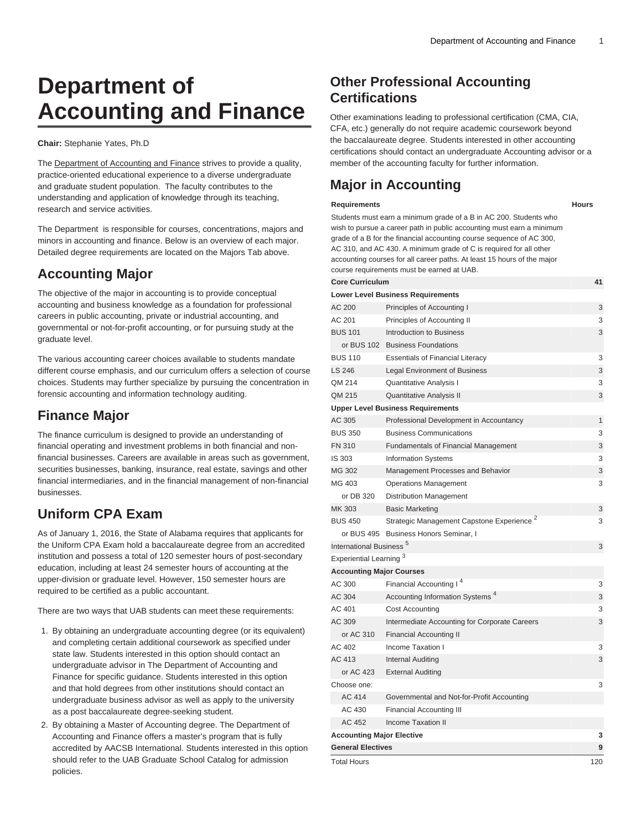# **Department of Accounting and Finance**

#### **Chair:** Stephanie Yates, Ph.D

The [Department of Accounting and Finance](https://www.uab.edu/business/home/departments-centers/academic-departments/accounting-finance/) strives to provide a quality, practice-oriented educational experience to a diverse undergraduate and graduate student population. The faculty contributes to the understanding and application of knowledge through its teaching, research and service activities.

The Department is responsible for courses, concentrations, majors and minors in accounting and finance. Below is an overview of each major. Detailed degree requirements are located on the Majors Tab above.

# **Accounting Major**

The objective of the major in accounting is to provide conceptual accounting and business knowledge as a foundation for professional careers in public accounting, private or industrial accounting, and governmental or not-for-profit accounting, or for pursuing study at the graduate level.

The various accounting career choices available to students mandate different course emphasis, and our curriculum offers a selection of course choices. Students may further specialize by pursuing the concentration in forensic accounting and information technology auditing.

# **Finance Major**

The finance curriculum is designed to provide an understanding of financial operating and investment problems in both financial and nonfinancial businesses. Careers are available in areas such as government, securities businesses, banking, insurance, real estate, savings and other financial intermediaries, and in the financial management of non-financial businesses.

# **Uniform CPA Exam**

As of January 1, 2016, the State of Alabama requires that applicants for the Uniform CPA Exam hold a baccalaureate degree from an accredited institution and possess a total of 120 semester hours of post-secondary education, including at least 24 semester hours of accounting at the upper-division or graduate level. However, 150 semester hours are required to be certified as a public accountant.

There are two ways that UAB students can meet these requirements:

- 1. By obtaining an undergraduate accounting degree (or its equivalent) and completing certain additional coursework as specified under state law. Students interested in this option should contact an undergraduate advisor in The Department of Accounting and Finance for specific guidance. Students interested in this option and that hold degrees from other institutions should contact an undergraduate business advisor as well as apply to the university as a post baccalaureate degree-seeking student.
- 2. By obtaining a Master of Accounting degree. The Department of Accounting and Finance offers a master's program that is fully accredited by AACSB International. Students interested in this option should refer to the UAB Graduate School Catalog for admission policies.

# **Other Professional Accounting Certifications**

Other examinations leading to professional certification (CMA, CIA, CFA, etc.) generally do not require academic coursework beyond the baccalaureate degree. Students interested in other accounting certifications should contact an undergraduate Accounting advisor or a member of the accounting faculty for further information.

# **Major in Accounting**

#### **Requirements Hours**

Students must earn a minimum grade of a B in AC 200. Students who wish to pursue a career path in public accounting must earn a minimum grade of a B for the financial accounting course sequence of AC 300, AC 310, and AC 430. A minimum grade of C is required for all other accounting courses for all career paths. At least 15 hours of the major course requirements must be earned at UAB.

**Core Curriculum 41**

|                                     | <b>Lower Level Business Requirements</b>              |              |
|-------------------------------------|-------------------------------------------------------|--------------|
| AC 200                              | Principles of Accounting I                            | 3            |
| AC 201                              | Principles of Accounting II                           | 3            |
| <b>BUS 101</b>                      | Introduction to Business                              | 3            |
| or BUS 102                          | <b>Business Foundations</b>                           |              |
| <b>BUS 110</b>                      | <b>Essentials of Financial Literacy</b>               | 3            |
| LS 246                              | <b>Legal Environment of Business</b>                  | 3            |
| QM 214                              | Quantitative Analysis I                               | 3            |
| QM 215                              | <b>Quantitative Analysis II</b>                       | 3            |
|                                     | <b>Upper Level Business Requirements</b>              |              |
| AC 305                              | Professional Development in Accountancy               | $\mathbf{1}$ |
| <b>BUS 350</b>                      | <b>Business Communications</b>                        | 3            |
| <b>FN 310</b>                       | Fundamentals of Financial Management                  | 3            |
| IS 303                              | <b>Information Systems</b>                            | 3            |
| MG 302                              | Management Processes and Behavior                     | 3            |
| MG 403                              | <b>Operations Management</b>                          | 3            |
| or DB 320                           | <b>Distribution Management</b>                        |              |
| MK 303                              | <b>Basic Marketing</b>                                | 3            |
| <b>BUS 450</b>                      | Strategic Management Capstone Experience <sup>2</sup> | 3            |
|                                     | or BUS 495 Business Honors Seminar, I                 |              |
| International Business <sup>5</sup> |                                                       | 3            |
| Experiential Learning <sup>3</sup>  |                                                       |              |
| <b>Accounting Major Courses</b>     |                                                       |              |
| AC 300                              | Financial Accounting I <sup>4</sup>                   | 3            |
| AC 304                              | Accounting Information Systems <sup>4</sup>           | 3            |
| AC 401                              | Cost Accounting                                       | 3            |
| AC 309                              | Intermediate Accounting for Corporate Careers         | 3            |
| or AC 310                           | <b>Financial Accounting II</b>                        |              |
| AC 402                              | Income Taxation I                                     | 3            |
| AC 413                              | <b>Internal Auditing</b>                              | 3            |
| or AC 423                           | <b>External Auditing</b>                              |              |
| Choose one:                         |                                                       | 3            |
| AC 414                              | Governmental and Not-for-Profit Accounting            |              |
| AC 430                              | <b>Financial Accounting III</b>                       |              |
| AC 452                              | <b>Income Taxation II</b>                             |              |
| <b>Accounting Major Elective</b>    |                                                       | 3            |
| <b>General Electives</b>            |                                                       | 9            |
| <b>Total Hours</b>                  |                                                       | 120          |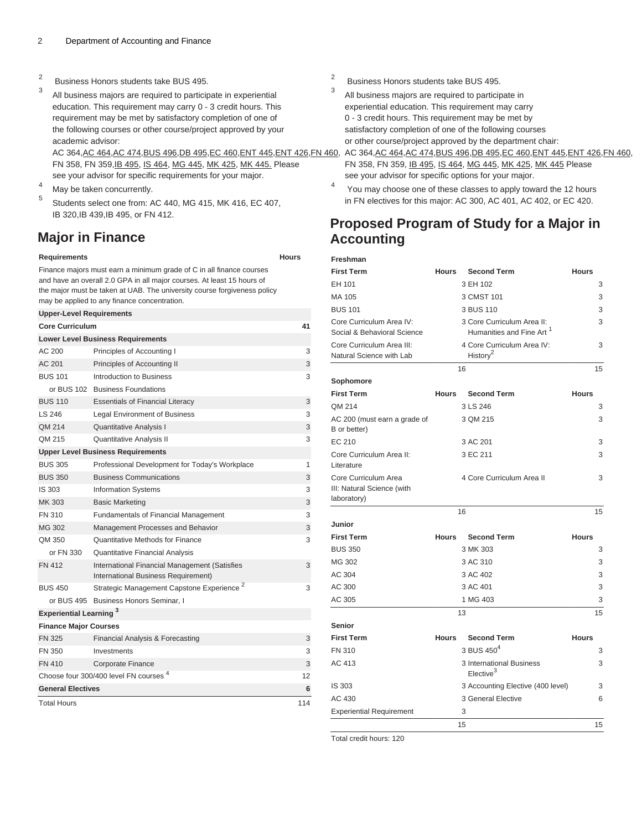- 2 Business Honors students take BUS 495.
- 3 All business majors are required to participate in experiential education. This requirement may carry 0 - 3 credit hours. This requirement may be met by satisfactory completion of one of the following courses or other course/project approved by your academic advisor:

AC 364,[AC 464,](/search/?P=AC%20464)[AC 474,](/search/?P=AC%20474)[BUS 496,](/search/?P=BUS%20496)[DB 495,](/search/?P=DB%20495)[EC 460,](/search/?P=EC%20460)[ENT 445](/search/?P=ENT%20445),[ENT 426](/search/?P=ENT%20426)[,FN 460,](/search/?P=FN%20460) FN 358, FN 359[,IB 495](/search/?P=IB%20495), [IS 464,](/search/?P=IS%20464) [MG 445,](/search/?P=MG%20445) [MK 425,](/search/?P=MK%20425) [MK 445.](/search/?P=MK%20445) Please see your advisor for specific requirements for your major.

- <sup>4</sup> May be taken concurrently.
- 5 Students select one from: AC 440, MG 415, MK 416, EC 407, IB 320,IB 439,IB 495, or FN 412.

# **Major in Finance**

#### **Requirements Hours**

Finance majors must earn a minimum grade of C in all finance courses and have an overall 2.0 GPA in all major courses. At least 15 hours of the major must be taken at UAB. The university course forgiveness policy may be applied to any finance concentration.

| <b>Upper-Level Requirements</b> |                                                                                      |     |
|---------------------------------|--------------------------------------------------------------------------------------|-----|
| <b>Core Curriculum</b>          |                                                                                      | 41  |
|                                 | <b>Lower Level Business Requirements</b>                                             |     |
| AC 200                          | Principles of Accounting I                                                           | 3   |
| AC 201                          | Principles of Accounting II                                                          | 3   |
| <b>BUS 101</b>                  | Introduction to Business                                                             | 3   |
|                                 | or BUS 102 Business Foundations                                                      |     |
| <b>BUS 110</b>                  | <b>Essentials of Financial Literacy</b>                                              | 3   |
| LS 246                          | <b>Legal Environment of Business</b>                                                 | 3   |
| QM 214                          | <b>Quantitative Analysis I</b>                                                       | 3   |
| QM 215                          | Quantitative Analysis II                                                             | 3   |
|                                 | <b>Upper Level Business Requirements</b>                                             |     |
| <b>BUS 305</b>                  | Professional Development for Today's Workplace                                       | 1   |
| <b>BUS 350</b>                  | <b>Business Communications</b>                                                       | 3   |
| IS 303                          | <b>Information Systems</b>                                                           | 3   |
| MK 303                          | <b>Basic Marketing</b>                                                               | 3   |
| <b>FN 310</b>                   | <b>Fundamentals of Financial Management</b>                                          | 3   |
| MG 302                          | Management Processes and Behavior                                                    | 3   |
| QM 350                          | Quantitative Methods for Finance                                                     | 3   |
| or FN 330                       | <b>Quantitative Financial Analysis</b>                                               |     |
| <b>FN 412</b>                   | International Financial Management (Satisfies<br>International Business Requirement) | 3   |
| <b>BUS 450</b>                  | Strategic Management Capstone Experience <sup>2</sup>                                | 3   |
|                                 | or BUS 495 Business Honors Seminar, I                                                |     |
| <b>Experiential Learning 3</b>  |                                                                                      |     |
| <b>Finance Major Courses</b>    |                                                                                      |     |
| <b>FN 325</b>                   | Financial Analysis & Forecasting                                                     | 3   |
| FN 350                          | Investments                                                                          | 3   |
| <b>FN 410</b>                   | Corporate Finance                                                                    | 3   |
|                                 | Choose four 300/400 level FN courses <sup>4</sup>                                    | 12  |
| <b>General Electives</b>        |                                                                                      | 6   |
| <b>Total Hours</b>              |                                                                                      | 114 |

- 2 Business Honors students take BUS 495.
- 3 All business majors are required to participate in experiential education. This requirement may carry 0 - 3 credit hours. This requirement may be met by satisfactory completion of one of the following courses or other course/project approved by the department chair:

AC 364,[AC 464,](/search/?P=AC%20464)[AC 474,](/search/?P=AC%20474)[BUS 496,](/search/?P=BUS%20496)[DB 495,](/search/?P=DB%20495)[EC 460,](/search/?P=EC%20460)[ENT 445](/search/?P=ENT%20445),[ENT 426](/search/?P=ENT%20426)[,FN 460,](/search/?P=FN%20460) FN 358, FN 359, [IB 495,](/search/?P=IB%20495) [IS 464](/search/?P=IS%20464), [MG 445](/search/?P=MG%20445), [MK 425](/search/?P=MK%20425), [MK 445](/search/?P=MK%20445) Please see your advisor for specific options for your major.

4 You may choose one of these classes to apply toward the 12 hours in FN electives for this major: AC 300, AC 401, AC 402, or EC 420.

# **Proposed Program of Study for a Major in Accounting**

| Freshman                                                          |              |                                                                    |              |
|-------------------------------------------------------------------|--------------|--------------------------------------------------------------------|--------------|
| <b>First Term</b>                                                 | <b>Hours</b> | <b>Second Term</b>                                                 | <b>Hours</b> |
| EH 101                                                            |              | 3 EH 102                                                           | 3            |
| MA 105                                                            |              | 3 CMST 101                                                         | 3            |
| <b>BUS 101</b>                                                    |              | 3 BUS 110                                                          | 3            |
| Core Curriculum Area IV:<br>Social & Behavioral Science           |              | 3 Core Curriculum Area II:<br>Humanities and Fine Art <sup>1</sup> | 3            |
| Core Curriculum Area III:                                         |              | 4 Core Curriculum Area IV:                                         | 3            |
| Natural Science with Lab                                          |              | History <sup>2</sup>                                               |              |
|                                                                   |              | 16                                                                 | 15           |
| Sophomore                                                         |              |                                                                    |              |
| <b>First Term</b>                                                 | <b>Hours</b> | <b>Second Term</b>                                                 | <b>Hours</b> |
| QM 214                                                            |              | 3 LS 246                                                           | 3            |
| AC 200 (must earn a grade of<br>B or better)                      |              | 3 QM 215                                                           | 3            |
| EC 210                                                            |              | 3 AC 201                                                           | 3            |
| Core Curriculum Area II:<br>Literature                            |              | 3 EC 211                                                           | 3            |
| Core Curriculum Area<br>III: Natural Science (with<br>laboratory) |              | 4 Core Curriculum Area II                                          | 3            |
|                                                                   |              | 16                                                                 | 15           |
| Junior                                                            |              |                                                                    |              |
| <b>First Term</b>                                                 | <b>Hours</b> | <b>Second Term</b>                                                 | <b>Hours</b> |
| <b>BUS 350</b>                                                    |              | 3 MK 303                                                           | 3            |
| MG 302                                                            |              | 3 AC 310                                                           | 3            |
| AC 304                                                            |              | 3 AC 402                                                           | 3            |
| AC 300                                                            |              | 3 AC 401                                                           | 3            |
| AC 305                                                            |              | 1 MG 403                                                           | 3            |
|                                                                   |              | 13                                                                 | 15           |
| <b>Senior</b>                                                     |              |                                                                    |              |
| <b>First Term</b>                                                 | <b>Hours</b> | <b>Second Term</b>                                                 | <b>Hours</b> |
| <b>FN 310</b>                                                     |              | 3 BUS $450^4$                                                      | 3            |
| AC 413                                                            |              | 3 International Business<br>Elective <sup>3</sup>                  | 3            |
| IS 303                                                            |              | 3 Accounting Elective (400 level)                                  | 3            |
| AC 430                                                            |              | 3 General Elective                                                 | 6            |
| <b>Experiential Requirement</b>                                   |              | 3                                                                  |              |
|                                                                   |              | 15                                                                 | 15           |

Total credit hours: 120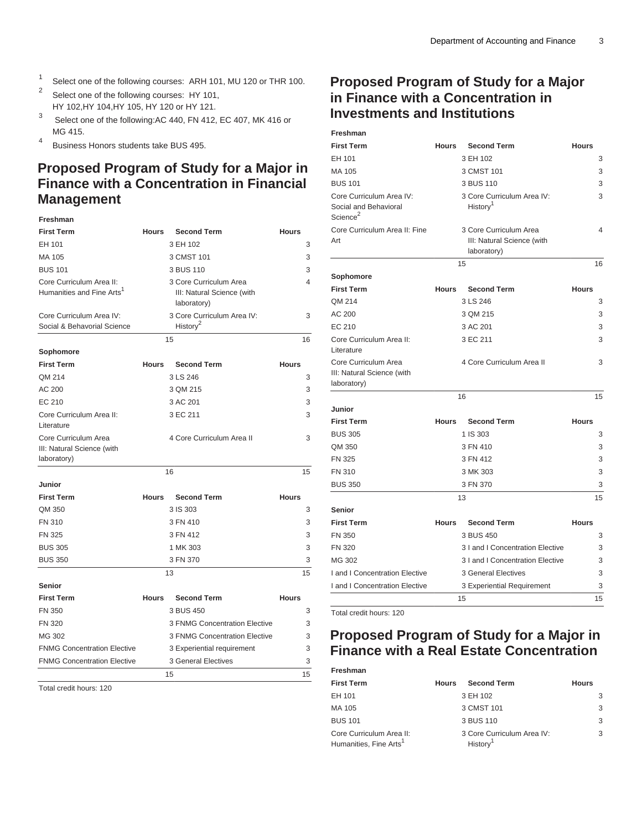- 1 Select one of the following courses: ARH 101, MU 120 or THR 100.
- 2 Select one of the following courses: HY 101, HY 102,HY 104,HY 105, HY 120 or HY 121.
- 3 Select one of the following:AC 440, FN 412, EC 407, MK 416 or MG 415.
- 4 Business Honors students take BUS 495.

# **Proposed Program of Study for a Major in Finance with a Concentration in Financial Management**

# **Freshman**

| <b>First Term</b>                                                 | Hours        | <b>Second Term</b>                                                  | <b>Hours</b> |
|-------------------------------------------------------------------|--------------|---------------------------------------------------------------------|--------------|
| EH 101                                                            |              | 3 EH 102                                                            | 3            |
| MA 105                                                            |              | 3 CMST 101                                                          | 3            |
| <b>BUS 101</b>                                                    |              | 3 BUS 110                                                           | 3            |
| Core Curriculum Area II:<br>Humanities and Fine Arts <sup>1</sup> |              | 3 Core Curriculum Area<br>III: Natural Science (with<br>laboratory) | 4            |
| Core Curriculum Area IV:<br>Social & Behavorial Science           |              | 3 Core Curriculum Area IV:<br>History <sup>2</sup>                  | 3            |
|                                                                   |              | 15                                                                  | 16           |
| Sophomore                                                         |              |                                                                     |              |
| <b>First Term</b>                                                 | <b>Hours</b> | <b>Second Term</b>                                                  | <b>Hours</b> |
| QM 214                                                            |              | 3 LS 246                                                            | 3            |
| AC 200                                                            |              | 3 QM 215                                                            | 3            |
| EC 210                                                            |              | 3 AC 201                                                            | 3            |
| Core Curriculum Area II:<br>Literature                            |              | 3 EC 211                                                            | 3            |
| Core Curriculum Area<br>III: Natural Science (with<br>laboratory) |              | 4 Core Curriculum Area II                                           | 3            |
|                                                                   |              | 16                                                                  | 15           |
| Junior                                                            |              |                                                                     |              |
| <b>First Term</b>                                                 | <b>Hours</b> | <b>Second Term</b>                                                  | <b>Hours</b> |
| QM 350                                                            |              | 3 IS 303                                                            | 3            |
| <b>FN 310</b>                                                     |              | 3 FN 410                                                            | 3            |
| <b>FN 325</b>                                                     |              | 3 FN 412                                                            | 3            |
| <b>BUS 305</b>                                                    |              | 1 MK 303                                                            | 3            |
| <b>BUS 350</b>                                                    |              | 3 FN 370                                                            | 3            |
|                                                                   |              | 13                                                                  | 15           |
| <b>Senior</b>                                                     |              |                                                                     |              |
| <b>First Term</b>                                                 | <b>Hours</b> | <b>Second Term</b>                                                  | <b>Hours</b> |
| <b>FN 350</b>                                                     |              | 3 BUS 450                                                           | 3            |
| <b>FN 320</b>                                                     |              | 3 FNMG Concentration Elective                                       | 3            |
| MG 302                                                            |              | 3 FNMG Concentration Elective                                       | 3            |
| <b>FNMG Concentration Elective</b>                                |              | 3 Experiential requirement                                          | 3            |
| <b>FNMG Concentration Elective</b>                                |              | <b>3 General Electives</b>                                          | 3            |
|                                                                   |              | 15                                                                  | 15           |

Total credit hours: 120

# **Proposed Program of Study for a Major in Finance with a Concentration in Investments and Institutions**

| Freshman                                                                  |              |                                                                     |              |
|---------------------------------------------------------------------------|--------------|---------------------------------------------------------------------|--------------|
| <b>First Term</b>                                                         | <b>Hours</b> | <b>Second Term</b>                                                  | <b>Hours</b> |
| EH 101                                                                    |              | 3 EH 102                                                            | 3            |
| MA 105                                                                    |              | 3 CMST 101                                                          | 3            |
| <b>BUS 101</b>                                                            |              | 3 BUS 110                                                           | 3            |
| Core Curriculum Area IV:<br>Social and Behavioral<br>Science <sup>2</sup> |              | 3 Core Curriculum Area IV:<br>History <sup>1</sup>                  | 3            |
| Core Curriculum Area II: Fine<br>Art                                      |              | 3 Core Curriculum Area<br>III: Natural Science (with<br>laboratory) | 4            |
|                                                                           |              | 15                                                                  | 16           |
| Sophomore                                                                 |              |                                                                     |              |
| <b>First Term</b>                                                         | <b>Hours</b> | <b>Second Term</b>                                                  | <b>Hours</b> |
| QM 214                                                                    |              | 3 LS 246                                                            | 3            |
| AC 200                                                                    |              | 3 QM 215                                                            | 3            |
| EC 210                                                                    |              | 3 AC 201                                                            | 3            |
| Core Curriculum Area II:<br>Literature                                    |              | 3 EC 211                                                            | 3            |
| Core Curriculum Area<br>III: Natural Science (with<br>laboratory)         |              | 4 Core Curriculum Area II                                           | 3            |
|                                                                           |              | 16                                                                  | 15           |
| Junior                                                                    |              |                                                                     |              |
| <b>First Term</b>                                                         | <b>Hours</b> | <b>Second Term</b>                                                  | <b>Hours</b> |
| <b>BUS 305</b>                                                            |              | 1 IS 303                                                            | 3            |
| QM 350                                                                    |              | 3 FN 410                                                            | 3            |
| <b>FN 325</b>                                                             |              | 3 FN 412                                                            | 3            |
| <b>FN 310</b>                                                             |              | 3 MK 303                                                            | 3            |
| <b>BUS 350</b>                                                            |              | 3 FN 370                                                            | 3            |
|                                                                           |              | 13                                                                  | 15           |
| <b>Senior</b>                                                             |              |                                                                     |              |
| <b>First Term</b>                                                         | <b>Hours</b> | <b>Second Term</b>                                                  | <b>Hours</b> |
| <b>FN 350</b>                                                             |              | 3 BUS 450                                                           | 3            |
| <b>FN 320</b>                                                             |              | 3 I and I Concentration Elective                                    | 3            |
| MG 302                                                                    |              | 3 I and I Concentration Elective                                    | 3            |
| I and I Concentration Elective                                            |              | <b>3 General Electives</b>                                          | 3            |
| I and I Concentration Elective                                            |              | 3 Experiential Requirement                                          | 3            |
|                                                                           |              | 15                                                                  | 15           |

Total credit hours: 120

# **Proposed Program of Study for a Major in Finance with a Real Estate Concentration**

| Freshman                                                       |              |                                                    |              |
|----------------------------------------------------------------|--------------|----------------------------------------------------|--------------|
| <b>First Term</b>                                              | <b>Hours</b> | <b>Second Term</b>                                 | <b>Hours</b> |
| EH 101                                                         |              | 3 EH 102                                           | 3            |
| MA 105                                                         |              | 3 CMST 101                                         | 3            |
| <b>BUS 101</b>                                                 |              | 3 BUS 110                                          | 3            |
| Core Curriculum Area II:<br>Humanities, Fine Arts <sup>1</sup> |              | 3 Core Curriculum Area IV:<br>History <sup>1</sup> | 3            |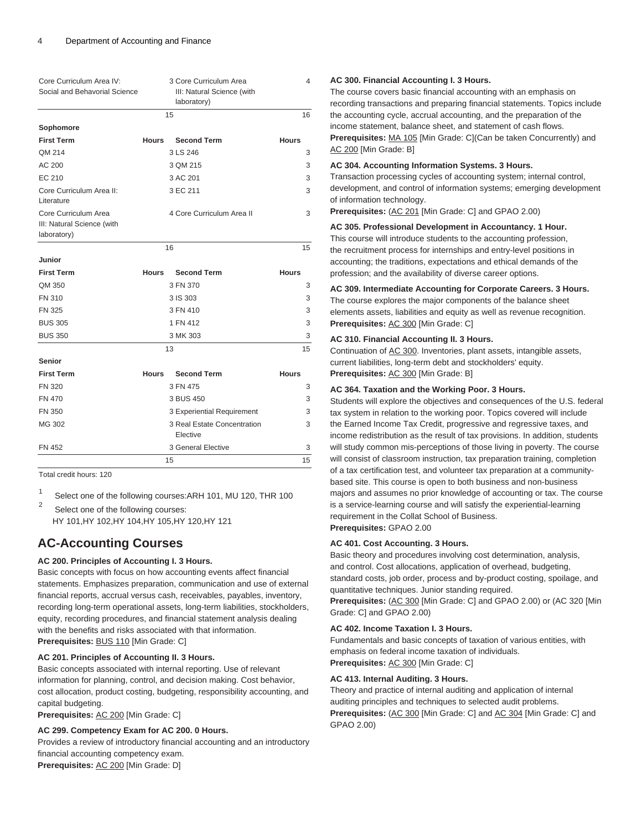| Core Curriculum Area IV:<br>Social and Behavorial Science         |              | 3 Core Curriculum Area<br>III: Natural Science (with<br>laboratory) | 4            |
|-------------------------------------------------------------------|--------------|---------------------------------------------------------------------|--------------|
|                                                                   |              | 15                                                                  | 16           |
| Sophomore                                                         |              |                                                                     |              |
| <b>First Term</b>                                                 | <b>Hours</b> | <b>Second Term</b>                                                  | <b>Hours</b> |
| QM 214                                                            |              | 3 LS 246                                                            | 3            |
| AC 200                                                            |              | 3 QM 215                                                            | 3            |
| EC 210                                                            |              | 3 AC 201                                                            | 3            |
| Core Curriculum Area II:<br>Literature                            |              | 3 EC 211                                                            | 3            |
| Core Curriculum Area<br>III: Natural Science (with<br>laboratory) |              | 4 Core Curriculum Area II                                           | 3            |
|                                                                   |              | 16                                                                  | 15           |
| Junior                                                            |              |                                                                     |              |
| <b>First Term</b>                                                 | <b>Hours</b> | <b>Second Term</b>                                                  | <b>Hours</b> |
| QM 350                                                            |              | 3 FN 370                                                            | 3            |
| <b>FN 310</b>                                                     |              | 3 IS 303                                                            | 3            |
| <b>FN 325</b>                                                     |              | 3 FN 410                                                            | 3            |
| <b>BUS 305</b>                                                    |              | 1 FN 412                                                            | 3            |
| <b>BUS 350</b>                                                    |              | 3 MK 303                                                            | 3            |
|                                                                   |              | 13                                                                  | 15           |
| <b>Senior</b>                                                     |              |                                                                     |              |
| <b>First Term</b>                                                 | <b>Hours</b> | <b>Second Term</b>                                                  | <b>Hours</b> |
| <b>FN 320</b>                                                     |              | 3 FN 475                                                            | 3            |
| <b>FN 470</b>                                                     |              | 3 BUS 450                                                           | 3            |
| <b>FN 350</b>                                                     |              | 3 Experiential Requirement                                          | 3            |
| MG 302                                                            |              | 3 Real Estate Concentration<br>Elective                             | 3            |
| <b>FN 452</b>                                                     |              | 3 General Elective                                                  | 3            |
|                                                                   |              | 15                                                                  | 15           |

Total credit hours: 120

1 Select one of the following courses:ARH 101, MU 120, THR 100

2 Select one of the following courses: HY 101,HY 102,HY 104,HY 105,HY 120,HY 121

# **AC-Accounting Courses**

# **AC 200. Principles of Accounting I. 3 Hours.**

Basic concepts with focus on how accounting events affect financial statements. Emphasizes preparation, communication and use of external financial reports, accrual versus cash, receivables, payables, inventory, recording long-term operational assets, long-term liabilities, stockholders, equity, recording procedures, and financial statement analysis dealing with the benefits and risks associated with that information. **Prerequisites:** [BUS 110](/search/?P=BUS%20110) [Min Grade: C]

# **AC 201. Principles of Accounting II. 3 Hours.**

Basic concepts associated with internal reporting. Use of relevant information for planning, control, and decision making. Cost behavior, cost allocation, product costing, budgeting, responsibility accounting, and capital budgeting.

**Prerequisites:** [AC 200](/search/?P=AC%20200) [Min Grade: C]

# **AC 299. Competency Exam for AC 200. 0 Hours.**

Provides a review of introductory financial accounting and an introductory financial accounting competency exam. **Prerequisites:** [AC 200](/search/?P=AC%20200) [Min Grade: D]

### **AC 300. Financial Accounting I. 3 Hours.**

The course covers basic financial accounting with an emphasis on recording transactions and preparing financial statements. Topics include the accounting cycle, accrual accounting, and the preparation of the income statement, balance sheet, and statement of cash flows. **Prerequisites:** [MA 105](/search/?P=MA%20105) [Min Grade: C](Can be taken Concurrently) and [AC 200](/search/?P=AC%20200) [Min Grade: B]

#### **AC 304. Accounting Information Systems. 3 Hours.**

Transaction processing cycles of accounting system; internal control, development, and control of information systems; emerging development of information technology.

**Prerequisites:** [\(AC 201](/search/?P=AC%20201) [Min Grade: C] and GPAO 2.00)

### **AC 305. Professional Development in Accountancy. 1 Hour.**

This course will introduce students to the accounting profession, the recruitment process for internships and entry-level positions in accounting; the traditions, expectations and ethical demands of the profession; and the availability of diverse career options.

### **AC 309. Intermediate Accounting for Corporate Careers. 3 Hours.**

The course explores the major components of the balance sheet elements assets, liabilities and equity as well as revenue recognition. **Prerequisites:** [AC 300](/search/?P=AC%20300) [Min Grade: C]

### **AC 310. Financial Accounting II. 3 Hours.**

Continuation of [AC 300.](/search/?P=AC%20300) Inventories, plant assets, intangible assets, current liabilities, long-term debt and stockholders' equity. **Prerequisites:** [AC 300](/search/?P=AC%20300) [Min Grade: B]

### **AC 364. Taxation and the Working Poor. 3 Hours.**

Students will explore the objectives and consequences of the U.S. federal tax system in relation to the working poor. Topics covered will include the Earned Income Tax Credit, progressive and regressive taxes, and income redistribution as the result of tax provisions. In addition, students will study common mis-perceptions of those living in poverty. The course will consist of classroom instruction, tax preparation training, completion of a tax certification test, and volunteer tax preparation at a communitybased site. This course is open to both business and non-business majors and assumes no prior knowledge of accounting or tax. The course is a service-learning course and will satisfy the experiential-learning requirement in the Collat School of Business. **Prerequisites:** GPAO 2.00

# **AC 401. Cost Accounting. 3 Hours.**

Basic theory and procedures involving cost determination, analysis, and control. Cost allocations, application of overhead, budgeting, standard costs, job order, process and by-product costing, spoilage, and quantitative techniques. Junior standing required.

**Prerequisites:** [\(AC 300](/search/?P=AC%20300) [Min Grade: C] and GPAO 2.00) or (AC 320 [Min Grade: C] and GPAO 2.00)

#### **AC 402. Income Taxation I. 3 Hours.**

Fundamentals and basic concepts of taxation of various entities, with emphasis on federal income taxation of individuals. **Prerequisites:** [AC 300](/search/?P=AC%20300) [Min Grade: C]

#### **AC 413. Internal Auditing. 3 Hours.**

Theory and practice of internal auditing and application of internal auditing principles and techniques to selected audit problems. Prerequisites: [\(AC 300](/search/?P=AC%20300) [Min Grade: C] and [AC 304](/search/?P=AC%20304) [Min Grade: C] and GPAO 2.00)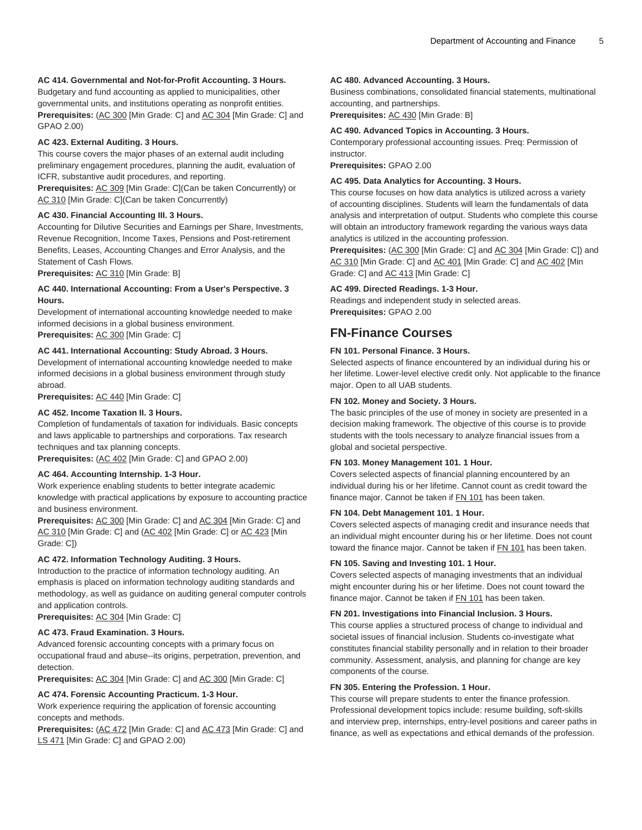## **AC 414. Governmental and Not-for-Profit Accounting. 3 Hours.**

Budgetary and fund accounting as applied to municipalities, other governmental units, and institutions operating as nonprofit entities. Prerequisites: [\(AC 300](/search/?P=AC%20300) [Min Grade: C] and [AC 304](/search/?P=AC%20304) [Min Grade: C] and GPAO 2.00)

#### **AC 423. External Auditing. 3 Hours.**

This course covers the major phases of an external audit including preliminary engagement procedures, planning the audit, evaluation of ICFR, substantive audit procedures, and reporting.

**Prerequisites:** [AC 309](/search/?P=AC%20309) [Min Grade: C](Can be taken Concurrently) or [AC 310](/search/?P=AC%20310) [Min Grade: C](Can be taken Concurrently)

#### **AC 430. Financial Accounting III. 3 Hours.**

Accounting for Dilutive Securities and Earnings per Share, Investments, Revenue Recognition, Income Taxes, Pensions and Post-retirement Benefits, Leases, Accounting Changes and Error Analysis, and the Statement of Cash Flows.

**Prerequisites:** [AC 310](/search/?P=AC%20310) [Min Grade: B]

## **AC 440. International Accounting: From a User's Perspective. 3 Hours.**

Development of international accounting knowledge needed to make informed decisions in a global business environment. **Prerequisites:** [AC 300](/search/?P=AC%20300) [Min Grade: C]

# **AC 441. International Accounting: Study Abroad. 3 Hours.**

Development of international accounting knowledge needed to make informed decisions in a global business environment through study abroad.

**Prerequisites:** [AC 440](/search/?P=AC%20440) [Min Grade: C]

#### **AC 452. Income Taxation II. 3 Hours.**

Completion of fundamentals of taxation for individuals. Basic concepts and laws applicable to partnerships and corporations. Tax research techniques and tax planning concepts.

**Prerequisites:** [\(AC 402](/search/?P=AC%20402) [Min Grade: C] and GPAO 2.00)

### **AC 464. Accounting Internship. 1-3 Hour.**

Work experience enabling students to better integrate academic knowledge with practical applications by exposure to accounting practice and business environment.

**Prerequisites:** [AC 300](/search/?P=AC%20300) [Min Grade: C] and [AC 304](/search/?P=AC%20304) [Min Grade: C] and [AC 310](/search/?P=AC%20310) [Min Grade: C] and [\(AC 402](/search/?P=AC%20402) [Min Grade: C] or [AC 423](/search/?P=AC%20423) [Min Grade: C])

## **AC 472. Information Technology Auditing. 3 Hours.**

Introduction to the practice of information technology auditing. An emphasis is placed on information technology auditing standards and methodology, as well as guidance on auditing general computer controls and application controls.

**Prerequisites:** [AC 304](/search/?P=AC%20304) [Min Grade: C]

#### **AC 473. Fraud Examination. 3 Hours.**

Advanced forensic accounting concepts with a primary focus on occupational fraud and abuse--its origins, perpetration, prevention, and detection.

**Prerequisites:** [AC 304](/search/?P=AC%20304) [Min Grade: C] and [AC 300](/search/?P=AC%20300) [Min Grade: C]

#### **AC 474. Forensic Accounting Practicum. 1-3 Hour.**

Work experience requiring the application of forensic accounting concepts and methods.

Prerequisites: [\(AC 472](/search/?P=AC%20472) [Min Grade: C] and [AC 473](/search/?P=AC%20473) [Min Grade: C] and [LS 471](/search/?P=LS%20471) [Min Grade: C] and GPAO 2.00)

#### **AC 480. Advanced Accounting. 3 Hours.**

Business combinations, consolidated financial statements, multinational accounting, and partnerships.

**Prerequisites:** [AC 430](/search/?P=AC%20430) [Min Grade: B]

#### **AC 490. Advanced Topics in Accounting. 3 Hours.**

Contemporary professional accounting issues. Preq: Permission of instructor.

**Prerequisites:** GPAO 2.00

#### **AC 495. Data Analytics for Accounting. 3 Hours.**

This course focuses on how data analytics is utilized across a variety of accounting disciplines. Students will learn the fundamentals of data analysis and interpretation of output. Students who complete this course will obtain an introductory framework regarding the various ways data analytics is utilized in the accounting profession.

Prerequisites: [\(AC 300](/search/?P=AC%20300) [Min Grade: C] and [AC 304](/search/?P=AC%20304) [Min Grade: C]) and [AC 310](/search/?P=AC%20310) [Min Grade: C] and [AC 401](/search/?P=AC%20401) [Min Grade: C] and [AC 402](/search/?P=AC%20402) [Min Grade: C] and [AC 413](/search/?P=AC%20413) [Min Grade: C]

#### **AC 499. Directed Readings. 1-3 Hour.**

Readings and independent study in selected areas. **Prerequisites:** GPAO 2.00

# **FN-Finance Courses**

#### **FN 101. Personal Finance. 3 Hours.**

Selected aspects of finance encountered by an individual during his or her lifetime. Lower-level elective credit only. Not applicable to the finance major. Open to all UAB students.

#### **FN 102. Money and Society. 3 Hours.**

The basic principles of the use of money in society are presented in a decision making framework. The objective of this course is to provide students with the tools necessary to analyze financial issues from a global and societal perspective.

#### **FN 103. Money Management 101. 1 Hour.**

Covers selected aspects of financial planning encountered by an individual during his or her lifetime. Cannot count as credit toward the finance major. Cannot be taken if [FN 101](/search/?P=FN%20101) has been taken.

#### **FN 104. Debt Management 101. 1 Hour.**

Covers selected aspects of managing credit and insurance needs that an individual might encounter during his or her lifetime. Does not count toward the finance major. Cannot be taken if [FN 101](/search/?P=FN%20101) has been taken.

#### **FN 105. Saving and Investing 101. 1 Hour.**

Covers selected aspects of managing investments that an individual might encounter during his or her lifetime. Does not count toward the finance major. Cannot be taken if [FN 101](/search/?P=FN%20101) has been taken.

#### **FN 201. Investigations into Financial Inclusion. 3 Hours.**

This course applies a structured process of change to individual and societal issues of financial inclusion. Students co-investigate what constitutes financial stability personally and in relation to their broader community. Assessment, analysis, and planning for change are key components of the course.

#### **FN 305. Entering the Profession. 1 Hour.**

This course will prepare students to enter the finance profession. Professional development topics include: resume building, soft-skills and interview prep, internships, entry-level positions and career paths in finance, as well as expectations and ethical demands of the profession.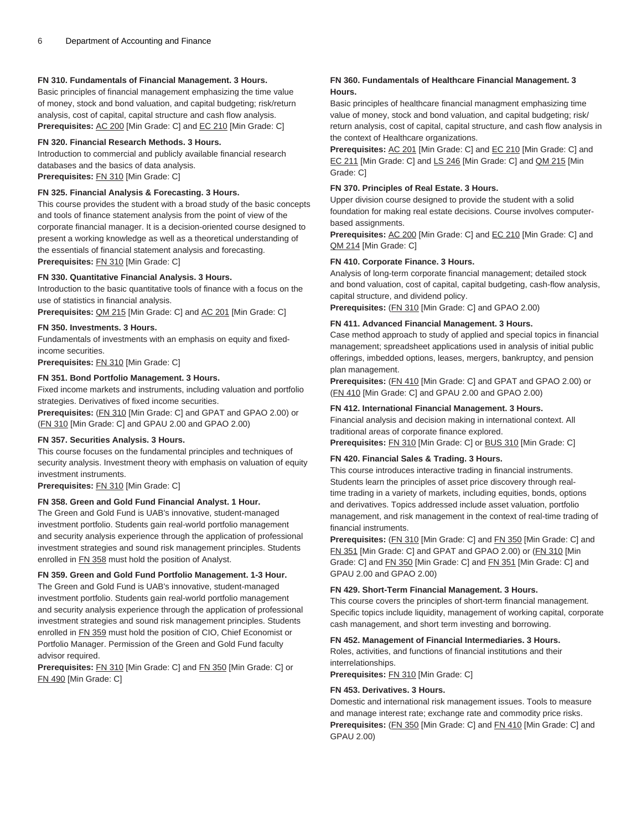### **FN 310. Fundamentals of Financial Management. 3 Hours.**

Basic principles of financial management emphasizing the time value of money, stock and bond valuation, and capital budgeting; risk/return analysis, cost of capital, capital structure and cash flow analysis. Prerequisites: [AC 200](/search/?P=AC%20200) [Min Grade: C] and [EC 210](/search/?P=EC%20210) [Min Grade: C]

#### **FN 320. Financial Research Methods. 3 Hours.**

Introduction to commercial and publicly available financial research databases and the basics of data analysis.

**Prerequisites:** [FN 310](/search/?P=FN%20310) [Min Grade: C]

#### **FN 325. Financial Analysis & Forecasting. 3 Hours.**

This course provides the student with a broad study of the basic concepts and tools of finance statement analysis from the point of view of the corporate financial manager. It is a decision-oriented course designed to present a working knowledge as well as a theoretical understanding of the essentials of financial statement analysis and forecasting. **Prerequisites:** [FN 310](/search/?P=FN%20310) [Min Grade: C]

#### **FN 330. Quantitative Financial Analysis. 3 Hours.**

Introduction to the basic quantitative tools of finance with a focus on the use of statistics in financial analysis.

**Prerequisites:** [QM 215](/search/?P=QM%20215) [Min Grade: C] and [AC 201](/search/?P=AC%20201) [Min Grade: C]

#### **FN 350. Investments. 3 Hours.**

Fundamentals of investments with an emphasis on equity and fixedincome securities.

**Prerequisites:** [FN 310](/search/?P=FN%20310) [Min Grade: C]

#### **FN 351. Bond Portfolio Management. 3 Hours.**

Fixed income markets and instruments, including valuation and portfolio strategies. Derivatives of fixed income securities.

**Prerequisites:** [\(FN 310](/search/?P=FN%20310) [Min Grade: C] and GPAT and GPAO 2.00) or ([FN 310](/search/?P=FN%20310) [Min Grade: C] and GPAU 2.00 and GPAO 2.00)

#### **FN 357. Securities Analysis. 3 Hours.**

This course focuses on the fundamental principles and techniques of security analysis. Investment theory with emphasis on valuation of equity investment instruments.

**Prerequisites:** [FN 310](/search/?P=FN%20310) [Min Grade: C]

# **FN 358. Green and Gold Fund Financial Analyst. 1 Hour.**

The Green and Gold Fund is UAB's innovative, student-managed investment portfolio. Students gain real-world portfolio management and security analysis experience through the application of professional investment strategies and sound risk management principles. Students enrolled in [FN 358](/search/?P=FN%20358) must hold the position of Analyst.

#### **FN 359. Green and Gold Fund Portfolio Management. 1-3 Hour.**

The Green and Gold Fund is UAB's innovative, student-managed investment portfolio. Students gain real-world portfolio management and security analysis experience through the application of professional investment strategies and sound risk management principles. Students enrolled in [FN 359](/search/?P=FN%20359) must hold the position of CIO, Chief Economist or Portfolio Manager. Permission of the Green and Gold Fund faculty advisor required.

**Prerequisites:** [FN 310](/search/?P=FN%20310) [Min Grade: C] and [FN 350](/search/?P=FN%20350) [Min Grade: C] or [FN 490](/search/?P=FN%20490) [Min Grade: C]

#### **FN 360. Fundamentals of Healthcare Financial Management. 3 Hours.**

Basic principles of healthcare financial managment emphasizing time value of money, stock and bond valuation, and capital budgeting; risk/ return analysis, cost of capital, capital structure, and cash flow analysis in the context of Healthcare organizations.

**Prerequisites:** [AC 201](/search/?P=AC%20201) [Min Grade: C] and [EC 210](/search/?P=EC%20210) [Min Grade: C] and [EC 211](/search/?P=EC%20211) [Min Grade: C] and [LS 246](/search/?P=LS%20246) [Min Grade: C] and [QM 215](/search/?P=QM%20215) [Min Grade: C]

#### **FN 370. Principles of Real Estate. 3 Hours.**

Upper division course designed to provide the student with a solid foundation for making real estate decisions. Course involves computerbased assignments.

**Prerequisites:** [AC 200](/search/?P=AC%20200) [Min Grade: C] and [EC 210](/search/?P=EC%20210) [Min Grade: C] and [QM 214](/search/?P=QM%20214) [Min Grade: C]

#### **FN 410. Corporate Finance. 3 Hours.**

Analysis of long-term corporate financial management; detailed stock and bond valuation, cost of capital, capital budgeting, cash-flow analysis, capital structure, and dividend policy.

**Prerequisites:** [\(FN 310](/search/?P=FN%20310) [Min Grade: C] and GPAO 2.00)

#### **FN 411. Advanced Financial Management. 3 Hours.**

Case method approach to study of applied and special topics in financial management; spreadsheet applications used in analysis of initial public offerings, imbedded options, leases, mergers, bankruptcy, and pension plan management.

**Prerequisites:** [\(FN 410](/search/?P=FN%20410) [Min Grade: C] and GPAT and GPAO 2.00) or ([FN 410](/search/?P=FN%20410) [Min Grade: C] and GPAU 2.00 and GPAO 2.00)

#### **FN 412. International Financial Management. 3 Hours.**

Financial analysis and decision making in international context. All traditional areas of corporate finance explored.

**Prerequisites:** [FN 310](/search/?P=FN%20310) [Min Grade: C] or [BUS 310](/search/?P=BUS%20310) [Min Grade: C]

#### **FN 420. Financial Sales & Trading. 3 Hours.**

This course introduces interactive trading in financial instruments. Students learn the principles of asset price discovery through realtime trading in a variety of markets, including equities, bonds, options and derivatives. Topics addressed include asset valuation, portfolio management, and risk management in the context of real-time trading of financial instruments.

**Prerequisites:** [\(FN 310](/search/?P=FN%20310) [Min Grade: C] and [FN 350](/search/?P=FN%20350) [Min Grade: C] and [FN 351](/search/?P=FN%20351) [Min Grade: C] and GPAT and GPAO 2.00) or ([FN 310](/search/?P=FN%20310) [Min Grade: C] and [FN 350](/search/?P=FN%20350) [Min Grade: C] and [FN 351](/search/?P=FN%20351) [Min Grade: C] and GPAU 2.00 and GPAO 2.00)

#### **FN 429. Short-Term Financial Management. 3 Hours.**

This course covers the principles of short-term financial management. Specific topics include liquidity, management of working capital, corporate cash management, and short term investing and borrowing.

#### **FN 452. Management of Financial Intermediaries. 3 Hours.**

Roles, activities, and functions of financial institutions and their interrelationships.

**Prerequisites:** [FN 310](/search/?P=FN%20310) [Min Grade: C]

#### **FN 453. Derivatives. 3 Hours.**

Domestic and international risk management issues. Tools to measure and manage interest rate; exchange rate and commodity price risks. Prerequisites: [\(FN 350](/search/?P=FN%20350) [Min Grade: C] and [FN 410](/search/?P=FN%20410) [Min Grade: C] and GPAU 2.00)